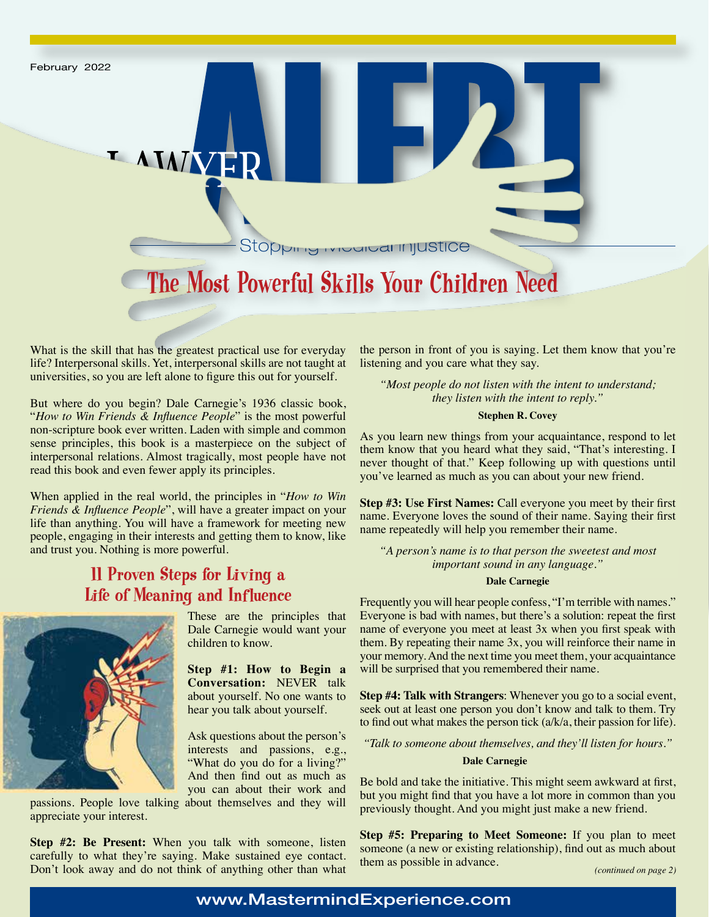

What is the skill that has the greatest practical use for everyday life? Interpersonal skills. Yet, interpersonal skills are not taught at universities, so you are left alone to figure this out for yourself.

But where do you begin? Dale Carnegie's 1936 classic book, "*How to Win Friends & Influence People*" is the most powerful non-scripture book ever written. Laden with simple and common sense principles, this book is a masterpiece on the subject of interpersonal relations. Almost tragically, most people have not read this book and even fewer apply its principles.

When applied in the real world, the principles in "*How to Win Friends & Influence People*", will have a greater impact on your life than anything. You will have a framework for meeting new people, engaging in their interests and getting them to know, like and trust you. Nothing is more powerful.

# 11 Proven Steps for Living a Life of Meaning and Influence



These are the principles that Dale Carnegie would want your children to know.

**Step #1: How to Begin a Conversation:** NEVER talk about yourself. No one wants to hear you talk about yourself.

Ask questions about the person's interests and passions, e.g., "What do you do for a living?" And then find out as much as you can about their work and

passions. People love talking about themselves and they will appreciate your interest.

**Step #2: Be Present:** When you talk with someone, listen carefully to what they're saying. Make sustained eye contact. Don't look away and do not think of anything other than what the person in front of you is saying. Let them know that you're listening and you care what they say.

*"Most people do not listen with the intent to understand; they listen with the intent to reply."*

## **Stephen R. Covey**

As you learn new things from your acquaintance, respond to let them know that you heard what they said, "That's interesting. I never thought of that." Keep following up with questions until you've learned as much as you can about your new friend.

**Step #3: Use First Names:** Call everyone you meet by their first name. Everyone loves the sound of their name. Saying their first name repeatedly will help you remember their name.

*"A person's name is to that person the sweetest and most important sound in any language."*

### **Dale Carnegie**

Frequently you will hear people confess, "I'm terrible with names." Everyone is bad with names, but there's a solution: repeat the first name of everyone you meet at least 3x when you first speak with them. By repeating their name 3x, you will reinforce their name in your memory. And the next time you meet them, your acquaintance will be surprised that you remembered their name.

**Step #4: Talk with Strangers**: Whenever you go to a social event, seek out at least one person you don't know and talk to them. Try to find out what makes the person tick (a/k/a, their passion for life).

*"Talk to someone about themselves, and they'll listen for hours."*

#### **Dale Carnegie**

Be bold and take the initiative. This might seem awkward at first, but you might find that you have a lot more in common than you previously thought. And you might just make a new friend.

**Step #5: Preparing to Meet Someone:** If you plan to meet someone (a new or existing relationship), find out as much about them as possible in advance.

## www.MastermindExperience.com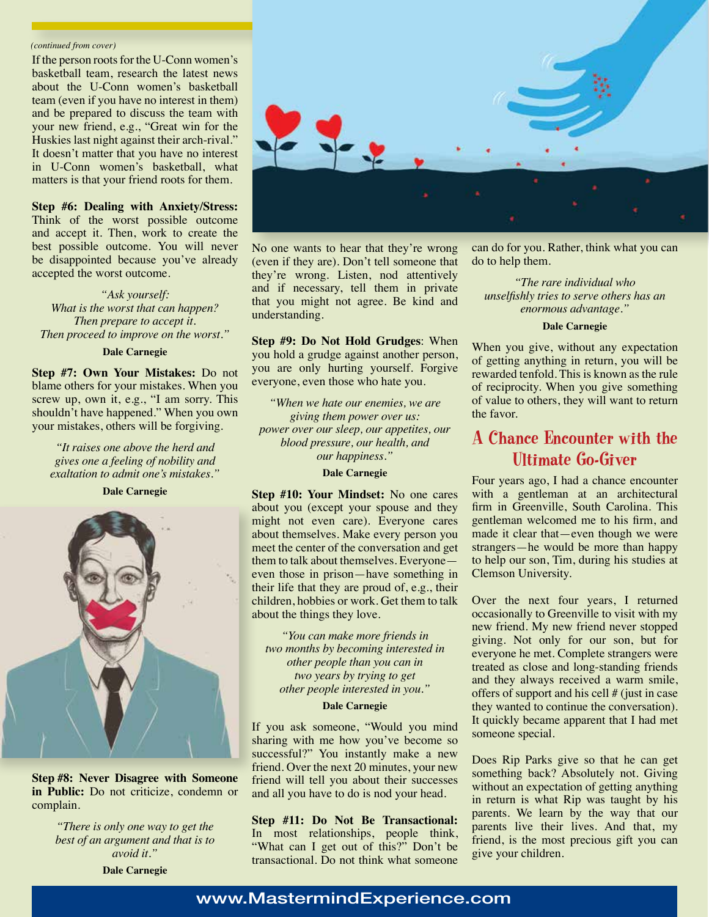#### *(continued from cover)*

If the person roots for the U-Conn women's basketball team, research the latest news about the U-Conn women's basketball team (even if you have no interest in them) and be prepared to discuss the team with your new friend, e.g., "Great win for the Huskies last night against their arch-rival." It doesn't matter that you have no interest in U-Conn women's basketball, what matters is that your friend roots for them.

## **Step #6: Dealing with Anxiety/Stress:**

Think of the worst possible outcome and accept it. Then, work to create the best possible outcome. You will never be disappointed because you've already accepted the worst outcome.

## *"Ask yourself: What is the worst that can happen? Then prepare to accept it. Then proceed to improve on the worst."*

#### **Dale Carnegie**

**Step #7: Own Your Mistakes:** Do not blame others for your mistakes. When you screw up, own it, e.g., "I am sorry. This shouldn't have happened." When you own your mistakes, others will be forgiving.

*"It raises one above the herd and gives one a feeling of nobility and exaltation to admit one's mistakes."*

**Dale Carnegie**



**Step #8: Never Disagree with Someone in Public:** Do not criticize, condemn or complain.

> *"There is only one way to get the best of an argument and that is to avoid it."*

**Dale Carnegie**



No one wants to hear that they're wrong (even if they are). Don't tell someone that they're wrong. Listen, nod attentively and if necessary, tell them in private that you might not agree. Be kind and understanding.

**Step #9: Do Not Hold Grudges**: When you hold a grudge against another person, you are only hurting yourself. Forgive everyone, even those who hate you.

*"When we hate our enemies, we are giving them power over us: power over our sleep, our appetites, our blood pressure, our health, and our happiness."*

## **Dale Carnegie**

**Step #10: Your Mindset:** No one cares about you (except your spouse and they might not even care). Everyone cares about themselves. Make every person you meet the center of the conversation and get them to talk about themselves. Everyone even those in prison—have something in their life that they are proud of, e.g., their children, hobbies or work. Get them to talk about the things they love.

*"You can make more friends in two months by becoming interested in other people than you can in two years by trying to get other people interested in you."*

## **Dale Carnegie**

If you ask someone, "Would you mind sharing with me how you've become so successful?" You instantly make a new friend. Over the next 20 minutes, your new friend will tell you about their successes and all you have to do is nod your head.

**Step #11: Do Not Be Transactional:**  In most relationships, people think, "What can I get out of this?" Don't be transactional. Do not think what someone

can do for you. Rather, think what you can do to help them.

*"The rare individual who unselfishly tries to serve others has an enormous advantage."*

#### **Dale Carnegie**

When you give, without any expectation of getting anything in return, you will be rewarded tenfold. This is known as the rule of reciprocity. When you give something of value to others, they will want to return the favor.

## A Chance Encounter with the Ultimate Go-Giver

Four years ago, I had a chance encounter with a gentleman at an architectural firm in Greenville, South Carolina. This gentleman welcomed me to his firm, and made it clear that—even though we were strangers—he would be more than happy to help our son, Tim, during his studies at Clemson University.

Over the next four years, I returned occasionally to Greenville to visit with my new friend. My new friend never stopped giving. Not only for our son, but for everyone he met. Complete strangers were treated as close and long-standing friends and they always received a warm smile, offers of support and his cell # (just in case they wanted to continue the conversation). It quickly became apparent that I had met someone special.

Does Rip Parks give so that he can get something back? Absolutely not. Giving without an expectation of getting anything in return is what Rip was taught by his parents. We learn by the way that our parents live their lives. And that, my friend, is the most precious gift you can give your children.

## www.MastermindExperience.com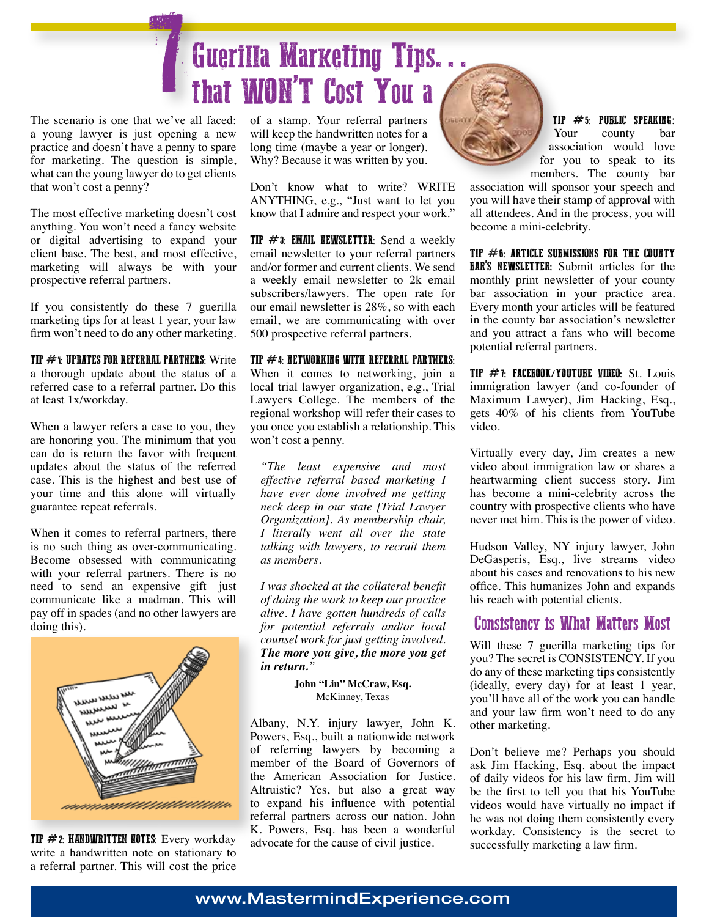

The scenario is one that we've all faced: a young lawyer is just opening a new practice and doesn't have a penny to spare for marketing. The question is simple, what can the young lawyer do to get clients that won't cost a penny?

The most effective marketing doesn't cost anything. You won't need a fancy website or digital advertising to expand your client base. The best, and most effective, marketing will always be with your prospective referral partners.

If you consistently do these 7 guerilla marketing tips for at least 1 year, your law firm won't need to do any other marketing.

TIP  $\#$ 1: UPDATES FOR REFERRAL PARTNERS: Write

a thorough update about the status of a referred case to a referral partner. Do this at least 1x/workday.

When a lawyer refers a case to you, they are honoring you. The minimum that you can do is return the favor with frequent updates about the status of the referred case. This is the highest and best use of your time and this alone will virtually guarantee repeat referrals.

When it comes to referral partners, there is no such thing as over-communicating. Become obsessed with communicating with your referral partners. There is no need to send an expensive gift—just communicate like a madman. This will pay off in spades (and no other lawyers are doing this).



TIP  $#2$ : HANDWRITTEN NOTES: Every workday write a handwritten note on stationary to a referral partner. This will cost the price

of a stamp. Your referral partners will keep the handwritten notes for a long time (maybe a year or longer). Why? Because it was written by you.

Don't know what to write? WRITE ANYTHING, e.g., "Just want to let you know that I admire and respect your work."

**TIP**  $#3$ **: EMAIL NEWSLETTER:** Send a weekly email newsletter to your referral partners and/or former and current clients. We send a weekly email newsletter to 2k email subscribers/lawyers. The open rate for our email newsletter is 28%, so with each email, we are communicating with over 500 prospective referral partners.

## TIP  $#$  4: NETWORKING WITH REFERRAL PARTNERS:

When it comes to networking, join a local trial lawyer organization, e.g., Trial Lawyers College. The members of the regional workshop will refer their cases to you once you establish a relationship. This won't cost a penny.

*"The least expensive and most effective referral based marketing I have ever done involved me getting neck deep in our state [Trial Lawyer Organization]. As membership chair, I literally went all over the state talking with lawyers, to recruit them as members.*

*I was shocked at the collateral benefit of doing the work to keep our practice alive. I have gotten hundreds of calls for potential referrals and/or local counsel work for just getting involved. The more you give, the more you get in return."*

> **John "Lin" McCraw, Esq.** McKinney, Texas

Albany, N.Y. injury lawyer, John K. Powers, Esq., built a nationwide network of referring lawyers by becoming a member of the Board of Governors of the American Association for Justice. Altruistic? Yes, but also a great way to expand his influence with potential referral partners across our nation. John K. Powers, Esq. has been a wonderful advocate for the cause of civil justice.



**TIP #5: PUBLIC SPEAKING:**<br>Your county bar county bar association would love for you to speak to its members. The county bar

association will sponsor your speech and you will have their stamp of approval with all attendees. And in the process, you will become a mini-celebrity.

TIP  $#6$ : ARTICLE SUBMISSIONS FOR THE COUNTY BAR'S NEWSLETTER: Submit articles for the monthly print newsletter of your county bar association in your practice area. Every month your articles will be featured in the county bar association's newsletter and you attract a fans who will become potential referral partners.

TIP  $#7$ : FACEBOOK/YOUTUBE VIDEO: St. Louis immigration lawyer (and co-founder of Maximum Lawyer), Jim Hacking, Esq., gets 40% of his clients from YouTube video.

Virtually every day, Jim creates a new video about immigration law or shares a heartwarming client success story. Jim has become a mini-celebrity across the country with prospective clients who have never met him. This is the power of video.

Hudson Valley, NY injury lawyer, John DeGasperis, Esq., live streams video about his cases and renovations to his new office. This humanizes John and expands his reach with potential clients.

## Consistency is What Matters Most

Will these 7 guerilla marketing tips for you? The secret is CONSISTENCY. If you do any of these marketing tips consistently (ideally, every day) for at least 1 year, you'll have all of the work you can handle and your law firm won't need to do any other marketing.

Don't believe me? Perhaps you should ask Jim Hacking, Esq. about the impact of daily videos for his law firm. Jim will be the first to tell you that his YouTube videos would have virtually no impact if he was not doing them consistently every workday. Consistency is the secret to successfully marketing a law firm.